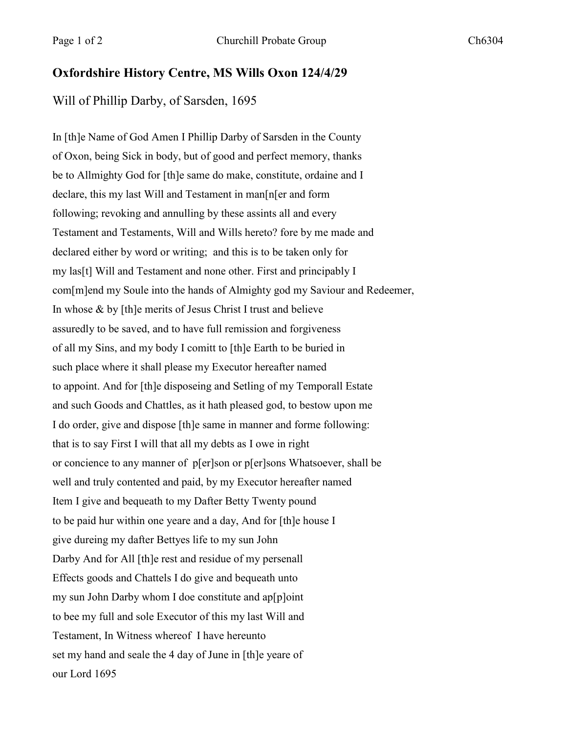## **Oxfordshire History Centre, MS Wills Oxon 124/4/29**

Will of Phillip Darby, of Sarsden, 1695

In [th]e Name of God Amen I Phillip Darby of Sarsden in the County of Oxon, being Sick in body, but of good and perfect memory, thanks be to Allmighty God for [th]e same do make, constitute, ordaine and I declare, this my last Will and Testament in man[n[er and form following; revoking and annulling by these assints all and every Testament and Testaments, Will and Wills hereto? fore by me made and declared either by word or writing; and this is to be taken only for my las[t] Will and Testament and none other. First and principably I com[m]end my Soule into the hands of Almighty god my Saviour and Redeemer, In whose & by [th]e merits of Jesus Christ I trust and believe assuredly to be saved, and to have full remission and forgiveness of all my Sins, and my body I comitt to [th]e Earth to be buried in such place where it shall please my Executor hereafter named to appoint. And for [th]e disposeing and Setling of my Temporall Estate and such Goods and Chattles, as it hath pleased god, to bestow upon me I do order, give and dispose [th]e same in manner and forme following: that is to say First I will that all my debts as I owe in right or concience to any manner of p[er]son or p[er]sons Whatsoever, shall be well and truly contented and paid, by my Executor hereafter named Item I give and bequeath to my Dafter Betty Twenty pound to be paid hur within one yeare and a day, And for [th]e house I give dureing my dafter Bettyes life to my sun John Darby And for All [th]e rest and residue of my persenall Effects goods and Chattels I do give and bequeath unto my sun John Darby whom I doe constitute and ap[p]oint to bee my full and sole Executor of this my last Will and Testament, In Witness whereof I have hereunto set my hand and seale the 4 day of June in [th]e yeare of our Lord 1695